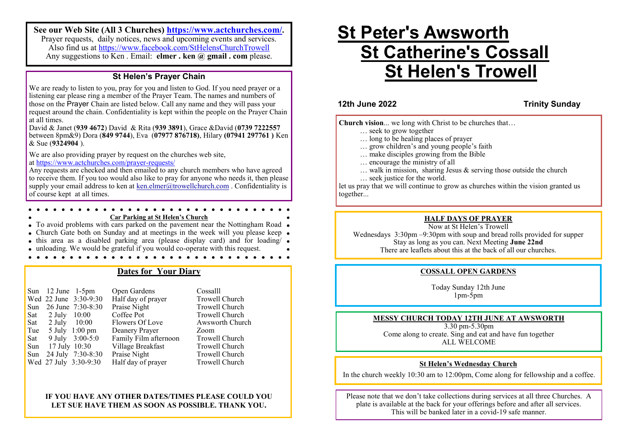**See our Web Site (All 3 Churches) <https://www.actchurches.com/>.** Prayer requests, daily notices, news and upcoming events and services. Also find us at https://www.facebook.com/StHelensChurchTrowell Any suggestions to Ken . Email: **elmer . ken @ gmail . com** please.

## **St Helen's Prayer Chain**

We are ready to listen to you, pray for you and listen to God. If you need prayer or a listening ear please ring a member of the Prayer Team. The names and numbers of those on the Prayer Chain are listed below. Call any name and they will pass your request around the chain. Confidentiality is kept within the people on the Prayer Chain at all times.

David & Janet (**939 4672**) David & Rita (**939 3891**), Grace &David (**0739 7222557**  between 8pm&9) Dora (**849 9744**), Eva (**07977 876718)**, Hilary **(07941 297761 )** Ken & Sue (**9324904** ).

We are also providing prayer by request on the churches web site, at [https://www.actchurches.com/prayer](https://www.actchurches.com/prayer-requests/)-requests/

Any requests are checked and then emailed to any church members who have agreed to receive them. If you too would also like to pray for anyone who needs it, then please supply your email address to ken at [ken.elmer@trowellchurch.com](mailto:ken.elmer@trowellchurch.com) . Confidentiality is of course kept at all times.

- **Car Parking at St Helen's Church**
- $\bullet$  To avoid problems with cars parked on the pavement near the Nottingham Road  $\bullet$
- Church Gate both on Sunday and at meetings in the week will you please keep •
- $\bullet$  this area as a disabled parking area (please display card) and for loading/ $\bullet$
- unloading. We would be grateful if you would co-operate with this request.

## **Dates for Your Diary**

|     | Sun $12$ June $1-5$ pm      |                       | Open Gardens           |
|-----|-----------------------------|-----------------------|------------------------|
|     |                             | Wed 22 June 3:30-9:30 | Half day of prayer     |
| Sun |                             | 26 June 7:30-8:30     | Praise Night           |
|     | Sat $2 \text{ July } 10:00$ |                       | Coffee Pot             |
|     | Sat $2 \text{ July } 10:00$ |                       | <b>Flowers Of Love</b> |
| Tue |                             | 5 July 1:00 pm        | Deanery Prayer         |
| Sat |                             | 9 July 3:00-5:0       | Family Film afternoon  |
|     | Sun 17 July 10:30           |                       | Village Breakfast      |
|     |                             | Sun 24 July 7:30-8:30 | Praise Night           |
|     |                             | Wed 27 July 3:30-9:30 | Half day of prayer     |

en Gardens<br>
If day of prayer Trowell Church ise Night<br>
Frowell Church<br>
Trowell Church Trowell Church Solution Superster Church 2 July 20:00 Awsworth Church Tue 5 July 1:00 pm Deanery Prayer Zoom llage Breakfast Trowell Church ise Night Trowell Church If day of prayer Trowell Church

#### **IF YOU HAVE ANY OTHER DATES/TIMES PLEASE COULD YOU LET SUE HAVE THEM AS SOON AS POSSIBLE. THANK YOU.**

# **St Peter's Awsworth St Catherine's Cossall St Helen's Trowell**

### **12th June 2022 Trinity Sunday**

**Church vision**... we long with Christ to be churches that…

- … seek to grow together
- … long to be healing places of prayer
- … grow children's and young people's faith
- … make disciples growing from the Bible
- … encourage the ministry of all
- … walk in mission, sharing Jesus & serving those outside the church
- … seek justice for the world.

let us pray that we will continue to grow as churches within the vision granted us together...

#### **HALF DAYS OF PRAYER**

Now at St Helen's Trowell Wednesdays 3:30pm –9:30pm with soup and bread rolls provided for supper Stay as long as you can. Next Meeting **June 22nd** There are leaflets about this at the back of all our churches.

#### **COSSALL OPEN GARDENS**

Today Sunday 12th June 1pm-5pm

#### **MESSY CHURCH TODAY 12TH JUNE AT AWSWORTH**

3.30 pm-5.30pm Come along to create. Sing and eat and have fun together ALL WELCOME

#### **St Helen's Wednesday Church**

In the church weekly 10:30 am to 12:00pm, Come along for fellowship and a coffee.

Please note that we don't take collections during services at all three Churches. A plate is available at the back for your offerings before and after all services. This will be banked later in a covid-19 safe manner.